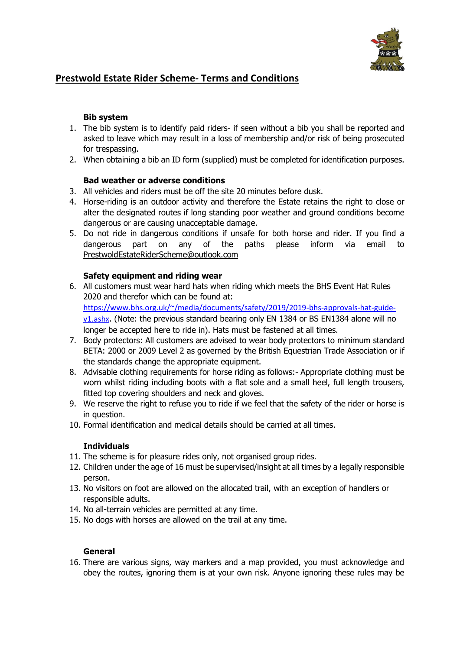

# **Prestwold Estate Rider Scheme- Terms and Conditions**

# **Bib system**

- 1. The bib system is to identify paid riders- if seen without a bib you shall be reported and asked to leave which may result in a loss of membership and/or risk of being prosecuted for trespassing.
- 2. When obtaining a bib an ID form (supplied) must be completed for identification purposes.

# **Bad weather or adverse conditions**

- 3. All vehicles and riders must be off the site 20 minutes before dusk.
- 4. Horse-riding is an outdoor activity and therefore the Estate retains the right to close or alter the designated routes if long standing poor weather and ground conditions become dangerous or are causing unacceptable damage.
- 5. Do not ride in dangerous conditions if unsafe for both horse and rider. If you find a dangerous part on any of the paths please inform via email to PrestwoldEstateRiderScheme@outlook.com

# **Safety equipment and riding wear**

- 6. All customers must wear hard hats when riding which meets the BHS Event Hat Rules 2020 and therefor which can be found at: [https://www.bhs.org.uk/~/media/documents/safety/2019/2019-bhs-approvals-hat-guide](https://www.bhs.org.uk/~/media/documents/safety/2019/2019-bhs-approvals-hat-guide-v1.ashx)[v1.ashx](https://www.bhs.org.uk/~/media/documents/safety/2019/2019-bhs-approvals-hat-guide-v1.ashx). (Note: the previous standard bearing only EN 1384 or BS EN1384 alone will no longer be accepted here to ride in). Hats must be fastened at all times.
- 7. Body protectors: All customers are advised to wear body protectors to minimum standard BETA: 2000 or 2009 Level 2 as governed by the British Equestrian Trade Association or if the standards change the appropriate equipment.
- 8. Advisable clothing requirements for horse riding as follows:- Appropriate clothing must be worn whilst riding including boots with a flat sole and a small heel, full length trousers, fitted top covering shoulders and neck and gloves.
- 9. We reserve the right to refuse you to ride if we feel that the safety of the rider or horse is in question.
- 10. Formal identification and medical details should be carried at all times.

#### **Individuals**

- 11. The scheme is for pleasure rides only, not organised group rides.
- 12. Children under the age of 16 must be supervised/insight at all times by a legally responsible person.
- 13. No visitors on foot are allowed on the allocated trail, with an exception of handlers or responsible adults.
- 14. No all-terrain vehicles are permitted at any time.
- 15. No dogs with horses are allowed on the trail at any time.

#### **General**

16. There are various signs, way markers and a map provided, you must acknowledge and obey the routes, ignoring them is at your own risk. Anyone ignoring these rules may be